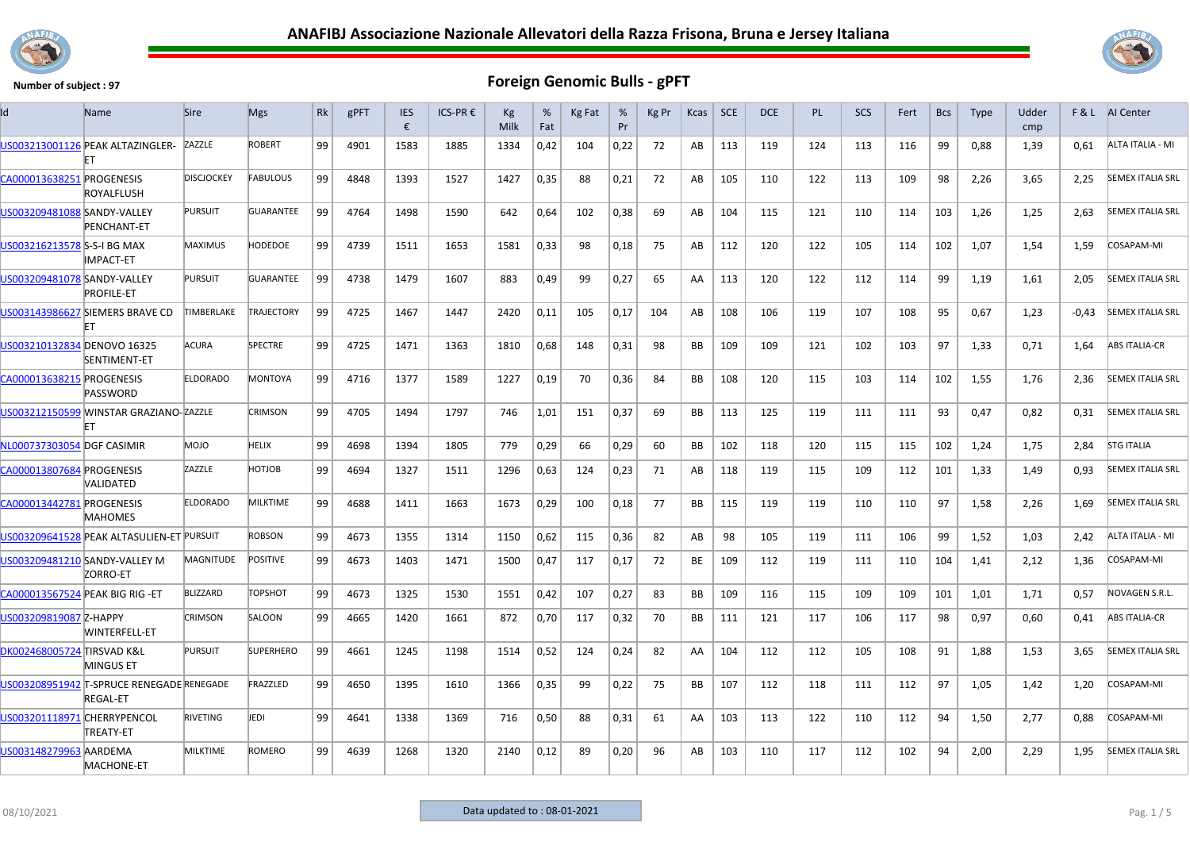



|                                 | Name                                                         | <b>Sire</b>       | <b>Mgs</b>        | <b>Rk</b> | gPFT | <b>IES</b><br>€ | ICS-PR € | Кg<br>Milk | %<br>Fat | Kg Fat | %<br>Pr | Kg Pr | Kcas      | <b>SCE</b> | <b>DCE</b> | <b>PL</b> | <b>SCS</b> | Fert | <b>Bcs</b> | <b>Type</b> | Udder<br>cmp | F&L     | <b>AI</b> Center        |
|---------------------------------|--------------------------------------------------------------|-------------------|-------------------|-----------|------|-----------------|----------|------------|----------|--------|---------|-------|-----------|------------|------------|-----------|------------|------|------------|-------------|--------------|---------|-------------------------|
|                                 | US003213001126 PEAK ALTAZINGLER-<br>FT                       | ZAZZLE            | <b>ROBERT</b>     | 99        | 4901 | 1583            | 1885     | 1334       | 0,42     | 104    | 0,22    | 72    | AB        | 113        | 119        | 124       | 113        | 116  | 99         | 0,88        | 1,39         | 0.61    | ALTA ITALIA - MI        |
| CA000013638251 PROGENESIS       | ROYALFLUSH                                                   | <b>DISCJOCKEY</b> | <b>FABULOUS</b>   | 99        | 4848 | 1393            | 1527     | 1427       | 0,35     | 88     | 0,21    | 72    | AB        | 105        | 110        | 122       | 113        | 109  | 98         | 2,26        | 3.65         | 2,25    | <b>SEMEX ITALIA SRL</b> |
| US003209481088 SANDY-VALLEY     | PENCHANT-ET                                                  | <b>PURSUIT</b>    | <b>GUARANTEE</b>  | 99        | 4764 | 1498            | 1590     | 642        | 0,64     | 102    | 0,38    | 69    | AB        | 104        | 115        | 121       | 110        | 114  | 103        | 1,26        | 1,25         | 2,63    | <b>SEMEX ITALIA SRL</b> |
| US003216213578 S-S-I BG MAX     | IMPACT-ET                                                    | <b>MAXIMUS</b>    | HODEDOE           | 99        | 4739 | 1511            | 1653     | 1581       | 0,33     | 98     | 0,18    | 75    | AB        | 112        | 120        | 122       | 105        | 114  | 102        | 1,07        | 1,54         | 1,59    | COSAPAM-MI              |
| US003209481078 SANDY-VALLEY     | <b>PROFILE-ET</b>                                            | PURSUIT           | <b>GUARANTEE</b>  | 99        | 4738 | 1479            | 1607     | 883        | 0,49     | 99     | 0,27    | 65    | AA        | 113        | 120        | 122       | 112        | 114  | 99         | 1,19        | 1,61         | 2,05    | <b>SEMEX ITALIA SRL</b> |
|                                 | US003143986627 SIEMERS BRAVE CD<br>FТ                        | TIMBERLAKE        | <b>TRAJECTORY</b> | 99        | 4725 | 1467            | 1447     | 2420       | 0,11     | 105    | 0.17    | 104   | AB        | 108        | 106        | 119       | 107        | 108  | 95         | 0,67        | 1,23         | $-0.43$ | <b>SEMEX ITALIA SRL</b> |
| US003210132834 DENOVO 16325     | SENTIMENT-ET                                                 | <b>ACURA</b>      | <b>SPECTRE</b>    | 99        | 4725 | 1471            | 1363     | 1810       | 0,68     | 148    | 0,31    | 98    | <b>BB</b> | 109        | 109        | 121       | 102        | 103  | 97         | 1,33        | 0,71         | 1,64    | <b>ABS ITALIA-CR</b>    |
| CA000013638215 PROGENESIS       | PASSWORD                                                     | <b>ELDORADO</b>   | <b>MONTOYA</b>    | 99        | 4716 | 1377            | 1589     | 1227       | 0,19     | 70     | 0,36    | 84    | <b>BB</b> | 108        | 120        | 115       | 103        | 114  | 102        | 1,55        | 1,76         | 2,36    | <b>SEMEX ITALIA SRL</b> |
|                                 | US003212150599 WINSTAR GRAZIANO-ZAZZLE<br>FT                 |                   | <b>CRIMSON</b>    | 99        | 4705 | 1494            | 1797     | 746        | 1,01     | 151    | 0,37    | 69    | BB        | 113        | 125        | 119       | 111        | 111  | 93         | 0,47        | 0,82         | 0,31    | <b>SEMEX ITALIA SRL</b> |
| NL000737303054 DGF CASIMIR      |                                                              | <b>DIOM</b>       | HELIX             | 99        | 4698 | 1394            | 1805     | 779        | 0,29     | 66     | 0,29    | 60    | <b>BB</b> | 102        | 118        | 120       | 115        | 115  | 102        | 1.24        | 1.75         | 2.84    | <b>STG ITALIA</b>       |
| CA000013807684 PROGENESIS       | VALIDATED                                                    | ZAZZLE            | HOTJOB            | 99        | 4694 | 1327            | 1511     | 1296       | 0,63     | 124    | 0,23    | 71    | AB        | 118        | 119        | 115       | 109        | 112  | 101        | 1,33        | 1,49         | 0,93    | <b>SEMEX ITALIA SRL</b> |
| CA000013442781 PROGENESIS       | <b>MAHOMES</b>                                               | <b>ELDORADO</b>   | <b>MILKTIME</b>   | 99        | 4688 | 1411            | 1663     | 1673       | 0,29     | 100    | 0,18    | 77    | <b>BB</b> | 115        | 119        | 119       | 110        | 110  | 97         | 1,58        | 2,26         | 1.69    | <b>SEMEX ITALIA SRL</b> |
|                                 | US003209641528 PEAK ALTASULIEN-ET PURSUIT                    |                   | <b>ROBSON</b>     | 99        | 4673 | 1355            | 1314     | 1150       | 0,62     | 115    | 0,36    | 82    | AB        | 98         | 105        | 119       | 111        | 106  | 99         | 1,52        | 1,03         | 2,42    | ALTA ITALIA - MI        |
|                                 | US003209481210 SANDY-VALLEY M<br>ZORRO-ET                    | <b>MAGNITUDE</b>  | <b>POSITIVE</b>   | 99        | 4673 | 1403            | 1471     | 1500       | 0,47     | 117    | 0,17    | 72    | <b>BE</b> | 109        | 112        | 119       | 111        | 110  | 104        | 1,41        | 2,12         | 1,36    | COSAPAM-MI              |
| CA000013567524 PEAK BIG RIG -ET |                                                              | <b>BLIZZARD</b>   | <b>TOPSHOT</b>    | 99        | 4673 | 1325            | 1530     | 1551       | 0,42     | 107    | 0,27    | 83    | BB        | 109        | 116        | 115       | 109        | 109  | 101        | 1,01        | 1,71         | 0,57    | NOVAGEN S.R.L.          |
| US003209819087 Z-HAPPY          | WINTERFELL-ET                                                | <b>CRIMSON</b>    | SALOON            | 99        | 4665 | 1420            | 1661     | 872        | 0,70     | 117    | 0,32    | 70    | <b>BB</b> | 111        | 121        | 117       | 106        | 117  | 98         | 0,97        | 0,60         | 0,41    | <b>ABS ITALIA-CR</b>    |
| DK002468005724 TIRSVAD K&L      | <b>MINGUS ET</b>                                             | <b>PURSUIT</b>    | <b>SUPERHERO</b>  | 99        | 4661 | 1245            | 1198     | 1514       | 0,52     | 124    | 0,24    | 82    | AA        | 104        | 112        | 112       | 105        | 108  | 91         | 1,88        | 1,53         | 3,65    | <b>SEMEX ITALIA SRL</b> |
|                                 | US003208951942 T-SPRUCE RENEGADE RENEGADE<br><b>REGAL-ET</b> |                   | FRAZZLED          | 99        | 4650 | 1395            | 1610     | 1366       | 0,35     | 99     | 0,22    | 75    | <b>BB</b> | 107        | 112        | 118       | 111        | 112  | 97         | 1,05        | 1,42         | 1,20    | COSAPAM-MI              |
| US003201118971 CHERRYPENCOL     | TREATY-ET                                                    | RIVETING          | JEDI              | 99        | 4641 | 1338            | 1369     | 716        | 0,50     | 88     | 0,31    | 61    | AA        | 103        | 113        | 122       | 110        | 112  | 94         | 1,50        | 2,77         | 0,88    | COSAPAM-MI              |
| US003148279963 AARDEMA          | <b>MACHONE-ET</b>                                            | <b>MILKTIME</b>   | <b>ROMERO</b>     | 99        | 4639 | 1268            | 1320     | 2140       | 0,12     | 89     | 0,20    | 96    | AB        | 103        | 110        | 117       | 112        | 102  | 94         | 2,00        | 2,29         | 1,95    | <b>SEMEX ITALIA SRL</b> |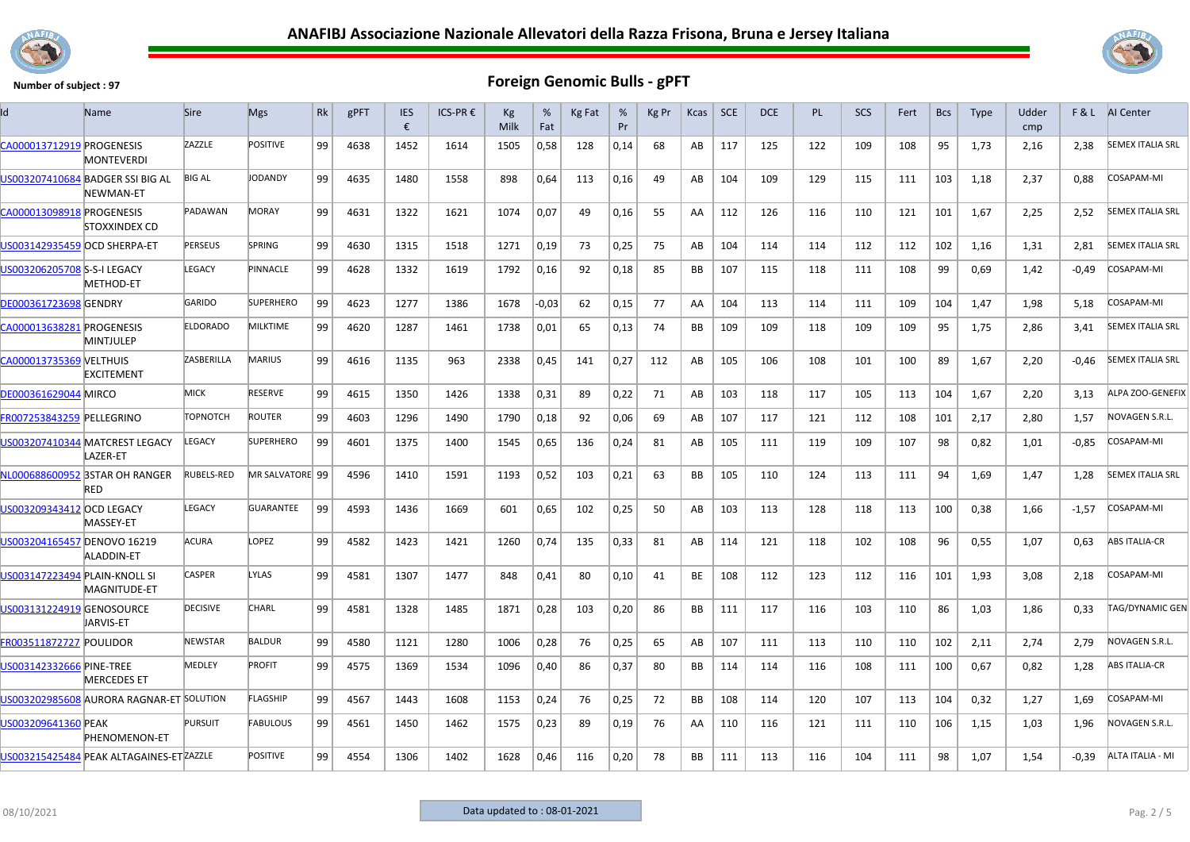



| ld                             | Name                                          | <b>Sire</b>     | <b>Mgs</b>       | Rk | gPFT | <b>IES</b><br>€ | ICS-PR € | Kg<br>Milk | %<br>Fat | Kg Fat | %<br>Pr | Kg Pr | Kcas | SCE | <b>DCE</b> | <b>PL</b> | SCS | Fert | <b>Bcs</b> | <b>Type</b> | Udder<br>cmp | F&L.    | <b>AI</b> Center        |
|--------------------------------|-----------------------------------------------|-----------------|------------------|----|------|-----------------|----------|------------|----------|--------|---------|-------|------|-----|------------|-----------|-----|------|------------|-------------|--------------|---------|-------------------------|
| CA000013712919 PROGENESIS      | <b>MONTEVERDI</b>                             | ZAZZLE          | <b>POSITIVE</b>  | 99 | 4638 | 1452            | 1614     | 1505       | 0,58     | 128    | 0,14    | 68    | AB   | 117 | 125        | 122       | 109 | 108  | 95         | 1,73        | 2,16         | 2,38    | <b>SEMEX ITALIA SRL</b> |
|                                | US003207410684 BADGER SSI BIG AL<br>NEWMAN-ET | <b>BIG AL</b>   | JODANDY          | 99 | 4635 | 1480            | 1558     | 898        | 0,64     | 113    | 0,16    | 49    | AB   | 104 | 109        | 129       | 115 | 111  | 103        | 1,18        | 2,37         | 0,88    | COSAPAM-MI              |
| CA000013098918 PROGENESIS      | STOXXINDEX CD                                 | PADAWAN         | <b>MORAY</b>     | 99 | 4631 | 1322            | 1621     | 1074       | 0,07     | 49     | 0,16    | 55    | AA   | 112 | 126        | 116       | 110 | 121  | 101        | 1,67        | 2,25         | 2,52    | <b>SEMEX ITALIA SRL</b> |
| US003142935459 OCD SHERPA-ET   |                                               | <b>PERSEUS</b>  | <b>SPRING</b>    | 99 | 4630 | 1315            | 1518     | 1271       | 0,19     | 73     | 0,25    | 75    | AB   | 104 | 114        | 114       | 112 | 112  | 102        | 1,16        | 1,31         | 2,81    | <b>SEMEX ITALIA SRL</b> |
| US003206205708 S-S-I LEGACY    | <b>METHOD-ET</b>                              | LEGACY          | PINNACLE         | 99 | 4628 | 1332            | 1619     | 1792       | 0,16     | 92     | 0,18    | 85    | BB   | 107 | 115        | 118       | 111 | 108  | 99         | 0,69        | 1,42         | $-0,49$ | COSAPAM-MI              |
| <b>DE000361723698 GENDRY</b>   |                                               | GARIDO          | <b>SUPERHERO</b> | 99 | 4623 | 1277            | 1386     | 1678       | -0,03    | 62     | 0,15    | 77    | AA   | 104 | 113        | 114       | 111 | 109  | 104        | 1,47        | 1,98         | 5,18    | COSAPAM-MI              |
| CA000013638281 PROGENESIS      | MINTJULEP                                     | <b>ELDORADO</b> | <b>MILKTIME</b>  | 99 | 4620 | 1287            | 1461     | 1738       | 0,01     | 65     | 0,13    | 74    | BB   | 109 | 109        | 118       | 109 | 109  | 95         | 1,75        | 2,86         | 3,41    | <b>SEMEX ITALIA SRL</b> |
| CA000013735369 VELTHUIS        | <b>EXCITEMENT</b>                             | ZASBERILLA      | <b>MARIUS</b>    | 99 | 4616 | 1135            | 963      | 2338       | 0,45     | 141    | 0,27    | 112   | AB   | 105 | 106        | 108       | 101 | 100  | 89         | 1,67        | 2,20         | -0,46   | <b>SEMEX ITALIA SRL</b> |
| DE000361629044 MIRCO           |                                               | MICK            | RESERVE          | 99 | 4615 | 1350            | 1426     | 1338       | 0,31     | 89     | 0,22    | 71    | AB   | 103 | 118        | 117       | 105 | 113  | 104        | 1,67        | 2,20         | 3,13    | <b>ALPA ZOO-GENEFIX</b> |
| FR007253843259 PELLEGRINO      |                                               | <b>TOPNOTCH</b> | <b>ROUTER</b>    | 99 | 4603 | 1296            | 1490     | 1790       | 0,18     | 92     | 0,06    | 69    | AB   | 107 | 117        | 121       | 112 | 108  | 101        | 2,17        | 2,80         | 1,57    | NOVAGEN S.R.L.          |
|                                | US003207410344 MATCREST LEGACY<br>LAZER-ET    | LEGACY          | <b>SUPERHERO</b> | 99 | 4601 | 1375            | 1400     | 1545       | 0,65     | 136    | 0,24    | 81    | AB   | 105 | 111        | 119       | 109 | 107  | 98         | 0,82        | 1,01         | $-0,85$ | COSAPAM-MI              |
|                                | NL000688600952 3STAR OH RANGER<br>RED         | RUBELS-RED      | MR SALVATORE 99  |    | 4596 | 1410            | 1591     | 1193       | 0,52     | 103    | 0,21    | 63    | BB   | 105 | 110        | 124       | 113 | 111  | 94         | 1,69        | 1,47         | 1,28    | <b>SEMEX ITALIA SRL</b> |
| US003209343412 OCD LEGACY      | MASSEY-ET                                     | LEGACY          | <b>GUARANTEE</b> | 99 | 4593 | 1436            | 1669     | 601        | 0,65     | 102    | 0,25    | 50    | AB   | 103 | 113        | 128       | 118 | 113  | 100        | 0,38        | 1,66         | $-1,57$ | COSAPAM-MI              |
| US003204165457 DENOVO 16219    | ALADDIN-ET                                    | ACURA           | LOPEZ            | 99 | 4582 | 1423            | 1421     | 1260       | 0,74     | 135    | 0,33    | 81    | AB   | 114 | 121        | 118       | 102 | 108  | 96         | 0,55        | 1,07         | 0,63    | <b>ABS ITALIA-CR</b>    |
| US003147223494 PLAIN-KNOLL SI  | MAGNITUDE-ET                                  | <b>CASPER</b>   | LYLAS            | 99 | 4581 | 1307            | 1477     | 848        | 0,41     | 80     | 0,10    | 41    | BE   | 108 | 112        | 123       | 112 | 116  | 101        | 1,93        | 3,08         | 2,18    | COSAPAM-MI              |
| US003131224919 GENOSOURCE      | <b>JARVIS-ET</b>                              | <b>DECISIVE</b> | CHARL            | 99 | 4581 | 1328            | 1485     | 1871       | 0,28     | 103    | 0,20    | 86    | ВB   | 111 | 117        | 116       | 103 | 110  | 86         | 1,03        | 1,86         | 0,33    | TAG/DYNAMIC GEN         |
| <b>FR003511872727 POULIDOR</b> |                                               | <b>NEWSTAR</b>  | <b>BALDUR</b>    | 99 | 4580 | 1121            | 1280     | 1006       | 0,28     | 76     | 0,25    | 65    | AB   | 107 | 111        | 113       | 110 | 110  | 102        | 2,11        | 2,74         | 2,79    | NOVAGEN S.R.L.          |
| US003142332666 PINE-TREE       | <b>MERCEDES ET</b>                            | <b>MEDLEY</b>   | <b>PROFIT</b>    | 99 | 4575 | 1369            | 1534     | 1096       | 0,40     | 86     | 0,37    | 80    | BB   | 114 | 114        | 116       | 108 | 111  | 100        | 0,67        | 0,82         | 1,28    | ABS ITALIA-CR           |
|                                | US003202985608 AURORA RAGNAR-ET SOLUTION      |                 | <b>FLAGSHIP</b>  | 99 | 4567 | 1443            | 1608     | 1153       | 0,24     | 76     | 0,25    | 72    | BB   | 108 | 114        | 120       | 107 | 113  | 104        | 0,32        | 1,27         | 1,69    | COSAPAM-MI              |
| US003209641360 PEAK            | <b>PHENOMENON-ET</b>                          | <b>PURSUIT</b>  | <b>FABULOUS</b>  | 99 | 4561 | 1450            | 1462     | 1575       | 0,23     | 89     | 0,19    | 76    | AA   | 110 | 116        | 121       | 111 | 110  | 106        | 1,15        | 1,03         | 1,96    | NOVAGEN S.R.L           |
|                                | US003215425484 PEAK ALTAGAINES-ET ZAZZLE      |                 | <b>POSITIVE</b>  | 99 | 4554 | 1306            | 1402     | 1628       | 0,46     | 116    | 0,20    | 78    | BB   | 111 | 113        | 116       | 104 | 111  | 98         | 1,07        | 1,54         | -0,39   | ALTA ITALIA - MI        |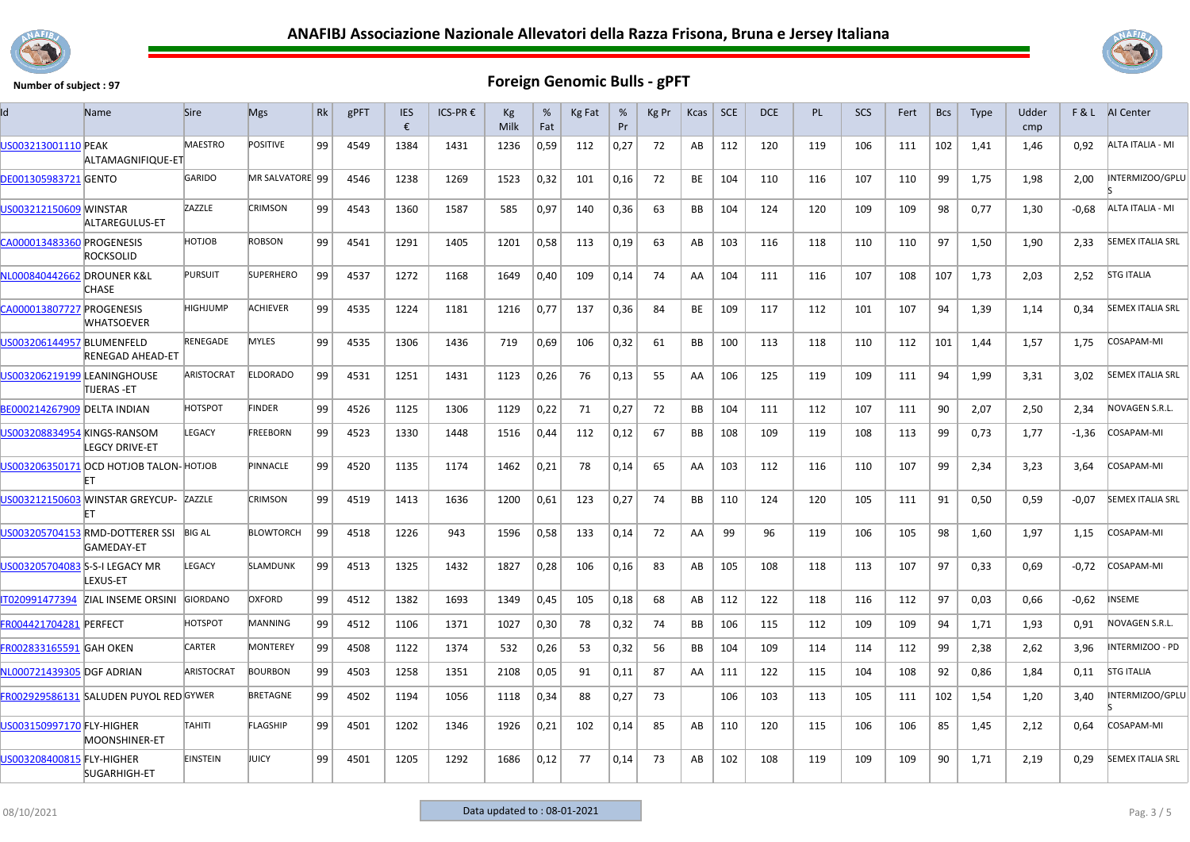



| ıd                                 | Name                                          | <b>Sire</b>       | <b>Mgs</b>       | Rk | gPFT | <b>IES</b><br>€ | ICS-PR€ | Кg<br>Milk | %<br>Fat | Kg Fat | %<br>Pr | Kg Pr | Kcas      | <b>SCE</b> | <b>DCE</b> | <b>PL</b> | <b>SCS</b> | Fert | <b>Bcs</b> | <b>Type</b> | Udder<br>cmp |         | <b>F&amp;L</b> AI Center |
|------------------------------------|-----------------------------------------------|-------------------|------------------|----|------|-----------------|---------|------------|----------|--------|---------|-------|-----------|------------|------------|-----------|------------|------|------------|-------------|--------------|---------|--------------------------|
| US003213001110 PEAK                | ALTAMAGNIFIQUE-ET                             | <b>MAESTRO</b>    | <b>POSITIVE</b>  | 99 | 4549 | 1384            | 1431    | 1236       | 0,59     | 112    | 0,27    | 72    | AB        | 112        | 120        | 119       | 106        | 111  | 102        | 1,41        | 1,46         | 0,92    | ALTA ITALIA - MI         |
| <b>DE001305983721 GENTO</b>        |                                               | GARIDO            | MR SALVATORE 99  |    | 4546 | 1238            | 1269    | 1523       | 0,32     | 101    | 0,16    | 72    | BE        | 104        | 110        | 116       | 107        | 110  | 99         | 1,75        | 1,98         | 2,00    | INTERMIZOO/GPLU          |
| US003212150609 MINSTAR             | ALTAREGULUS-ET                                | ZAZZLE            | <b>CRIMSON</b>   | 99 | 4543 | 1360            | 1587    | 585        | 0,97     | 140    | 0,36    | 63    | <b>BB</b> | 104        | 124        | 120       | 109        | 109  | 98         | 0,77        | 1,30         | $-0.68$ | ALTA ITALIA - MI         |
| CA000013483360 PROGENESIS          | <b>ROCKSOLID</b>                              | HOTJOB            | <b>ROBSON</b>    | 99 | 4541 | 1291            | 1405    | 1201       | 0,58     | 113    | 0,19    | 63    | AB        | 103        | 116        | 118       | 110        | 110  | 97         | 1,50        | 1,90         | 2.33    | <b>SEMEX ITALIA SRL</b>  |
| NL000840442662 DROUNER K&L         | CHASE                                         | <b>PURSUIT</b>    | <b>SUPERHERO</b> | 99 | 4537 | 1272            | 1168    | 1649       | 0,40     | 109    | 0,14    | 74    | AA        | 104        | 111        | 116       | 107        | 108  | 107        | 1,73        | 2,03         | 2,52    | <b>STG ITALIA</b>        |
| CA000013807727 PROGENESIS          | <b>WHATSOEVER</b>                             | <b>HIGHJUMP</b>   | <b>ACHIEVER</b>  | 99 | 4535 | 1224            | 1181    | 1216       | 0,77     | 137    | 0,36    | 84    | BE        | 109        | 117        | 112       | 101        | 107  | 94         | 1,39        | 1,14         | 0,34    | <b>SEMEX ITALIA SRL</b>  |
| US003206144957 BLUMENFELD          | <b>RENEGAD AHEAD-ET</b>                       | RENEGADE          | <b>MYLES</b>     | 99 | 4535 | 1306            | 1436    | 719        | 0,69     | 106    | 0,32    | 61    | <b>BB</b> | 100        | 113        | 118       | 110        | 112  | 101        | 1,44        | 1,57         | 1,75    | <b>COSAPAM-MI</b>        |
| US003206219199 LEANINGHOUSE        | TIJERAS -ET                                   | ARISTOCRAT        | <b>ELDORADO</b>  | 99 | 4531 | 1251            | 1431    | 1123       | 0,26     | 76     | 0,13    | 55    | AA        | 106        | 125        | 119       | 109        | 111  | 94         | 1,99        | 3,31         | 3,02    | <b>SEMEX ITALIA SRL</b>  |
| <b>BE000214267909 DELTA INDIAN</b> |                                               | HOTSPOT           | <b>FINDER</b>    | 99 | 4526 | 1125            | 1306    | 1129       | 0,22     | 71     | 0,27    | 72    | BB        | 104        | 111        | 112       | 107        | 111  | 90         | 2,07        | 2,50         | 2,34    | NOVAGEN S.R.L.           |
| US003208834954 KINGS-RANSOM        | <b>LEGCY DRIVE-ET</b>                         | LEGACY            | FREEBORN         | 99 | 4523 | 1330            | 1448    | 1516       | 0,44     | 112    | 0,12    | 67    | BB        | 108        | 109        | 119       | 108        | 113  | 99         | 0,73        | 1,77         | $-1,36$ | COSAPAM-MI               |
|                                    | US003206350171 OCD HOTJOB TALON-HOTJOB        |                   | <b>PINNACLE</b>  | 99 | 4520 | 1135            | 1174    | 1462       | 0,21     | 78     | 0,14    | 65    | AA.       | 103        | 112        | 116       | 110        | 107  | 99         | 2,34        | 3,23         | 3,64    | <b>COSAPAM-MI</b>        |
|                                    | US003212150603 WINSTAR GREYCUP- ZAZZLE        |                   | <b>CRIMSON</b>   | 99 | 4519 | 1413            | 1636    | 1200       | 0,61     | 123    | 0,27    | 74    | <b>BB</b> | 110        | 124        | 120       | 105        | 111  | 91         | 0,50        | 0,59         | $-0.07$ | <b>SEMEX ITALIA SRL</b>  |
|                                    | US003205704153 RMD-DOTTERER SSI<br>GAMEDAY-ET | <b>BIG AL</b>     | <b>BLOWTORCH</b> | 99 | 4518 | 1226            | 943     | 1596       | 0,58     | 133    | 0,14    | 72    | AA        | 99         | 96         | 119       | 106        | 105  | 98         | 1.60        | 1.97         | 1.15    | COSAPAM-MI               |
| US003205704083 S-S-I LEGACY MR     | LEXUS-ET                                      | LEGACY            | <b>SLAMDUNK</b>  | 99 | 4513 | 1325            | 1432    | 1827       | 0,28     | 106    | 0,16    | 83    | AB        | 105        | 108        | 118       | 113        | 107  | 97         | 0,33        | 0,69         | $-0,72$ | <b>COSAPAM-MI</b>        |
| IT020991477394                     | ZIAL INSEME ORSINI                            | <b>GIORDANO</b>   | OXFORD           | 99 | 4512 | 1382            | 1693    | 1349       | 0,45     | 105    | 0,18    | 68    | AB        | 112        | 122        | 118       | 116        | 112  | 97         | 0,03        | 0,66         | $-0,62$ | <b>NSEME</b>             |
| <b>FR004421704281 PERFECT</b>      |                                               | <b>HOTSPOT</b>    | MANNING          | 99 | 4512 | 1106            | 1371    | 1027       | 0,30     | 78     | 0,32    | 74    | <b>BB</b> | 106        | 115        | 112       | 109        | 109  | 94         | 1,71        | 1,93         | 0.91    | NOVAGEN S.R.L.           |
| FR002833165591 GAH OKEN            |                                               | CARTER            | MONTEREY         | 99 | 4508 | 1122            | 1374    | 532        | 0,26     | 53     | 0,32    | 56    | <b>BB</b> | 104        | 109        | 114       | 114        | 112  | 99         | 2,38        | 2,62         | 3,96    | INTERMIZOO - PD          |
| NL000721439305 DGF ADRIAN          |                                               | <b>ARISTOCRAT</b> | <b>BOURBON</b>   | 99 | 4503 | 1258            | 1351    | 2108       | 0,05     | 91     | 0,11    | 87    | AA        | 111        | 122        | 115       | 104        | 108  | 92         | 0,86        | 1,84         | 0,11    | <b>STG ITALIA</b>        |
|                                    | FR002929586131 SALUDEN PUYOL RED GYWER        |                   | <b>BRETAGNE</b>  | 99 | 4502 | 1194            | 1056    | 1118       | 0,34     | 88     | 0,27    | 73    |           | 106        | 103        | 113       | 105        | 111  | 102        | 1,54        | 1,20         | 3,40    | NTERMIZOO/GPLU           |
| US003150997170 FLY-HIGHER          | MOONSHINER-ET                                 | TAHITI            | FLAGSHIP         | 99 | 4501 | 1202            | 1346    | 1926       | 0,21     | 102    | 0,14    | 85    | AB        | 110        | 120        | 115       | 106        | 106  | 85         | 1,45        | 2,12         | 0,64    | COSAPAM-MI               |
| US003208400815 FLY-HIGHER          | <b>SUGARHIGH-ET</b>                           | <b>EINSTEIN</b>   | JUICY            | 99 | 4501 | 1205            | 1292    | 1686       | 0,12     | 77     | 0,14    | 73    | AB        | 102        | 108        | 119       | 109        | 109  | 90         | 1,71        | 2,19         | 0,29    | <b>SEMEX ITALIA SRL</b>  |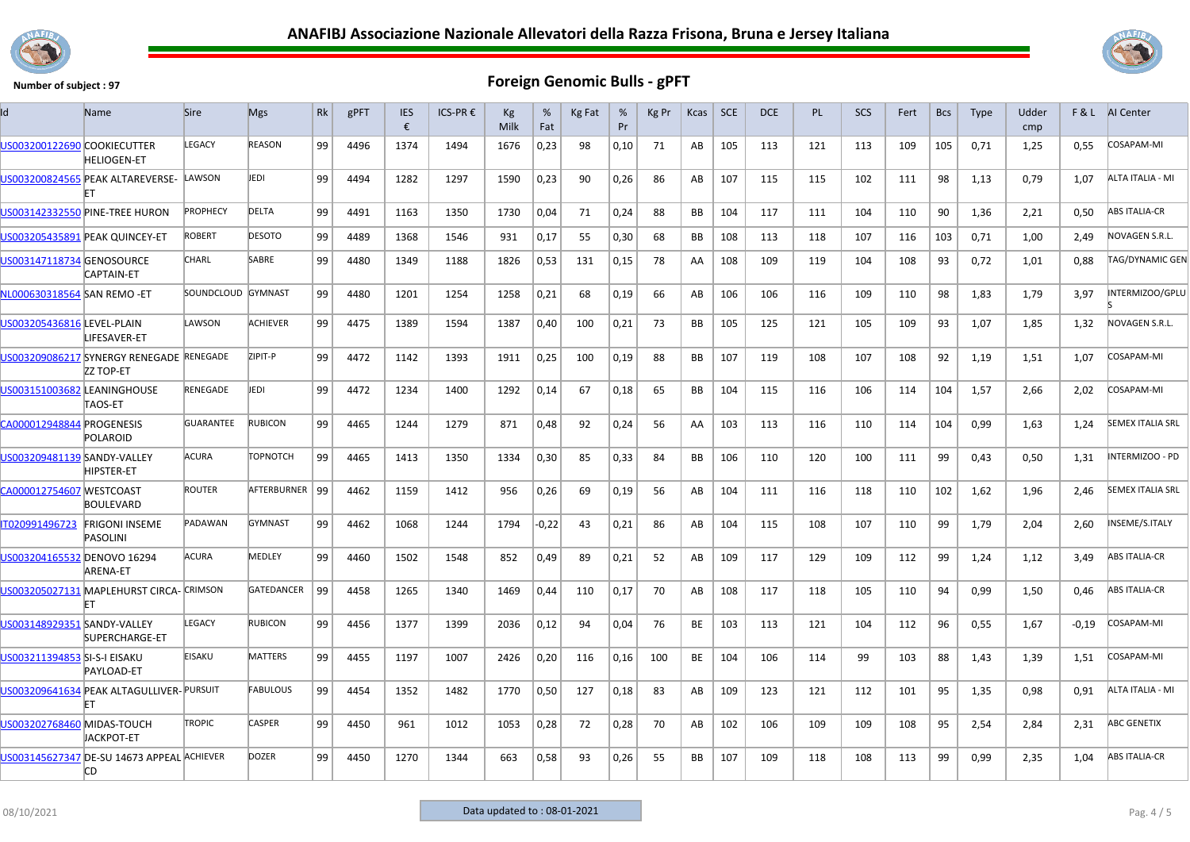



|                              | Name                                                         | <b>Sire</b>        | <b>Mgs</b>       | Rk | gPFT | <b>IES</b><br>€ | ICS-PR € | Kg<br>Milk | %<br>Fat | Kg Fat | %<br>Pr | Kg Pr | Kcas      | <b>SCE</b> | DCE | <b>PL</b> | SCS | Fert | <b>Bcs</b> | <b>Type</b> | Udder<br>cmp | F&L     | AI Center               |
|------------------------------|--------------------------------------------------------------|--------------------|------------------|----|------|-----------------|----------|------------|----------|--------|---------|-------|-----------|------------|-----|-----------|-----|------|------------|-------------|--------------|---------|-------------------------|
| US003200122690 COOKIECUTTER  | <b>HELIOGEN-ET</b>                                           | LEGACY             | REASON           | 99 | 4496 | 1374            | 1494     | 1676       | 0,23     | 98     | 0,10    | 71    | AB        | 105        | 113 | 121       | 113 | 109  | 105        | 0,71        | 1,25         | 0.55    | COSAPAM-MI              |
|                              | US003200824565 PEAK ALTAREVERSE-                             | LAWSON             | JEDI             | 99 | 4494 | 1282            | 1297     | 1590       | 0,23     | 90     | 0,26    | 86    | AB        | 107        | 115 | 115       | 102 | 111  | 98         | 1,13        | 0,79         | 1,07    | ALTA ITALIA - MI        |
|                              | US003142332550 PINE-TREE HURON                               | PROPHECY           | DELTA            | 99 | 4491 | 1163            | 1350     | 1730       | 0,04     | 71     | 0,24    | 88    | <b>BB</b> | 104        | 117 | 111       | 104 | 110  | 90         | 1,36        | 2,21         | 0.50    | <b>ABS ITALIA-CR</b>    |
|                              | US003205435891 PEAK QUINCEY-ET                               | <b>ROBERT</b>      | <b>DESOTO</b>    | 99 | 4489 | 1368            | 1546     | 931        | 0,17     | 55     | 0,30    | 68    | BB        | 108        | 113 | 118       | 107 | 116  | 103        | 0,71        | 1,00         | 2,49    | NOVAGEN S.R.L.          |
| US003147118734 GENOSOURCE    | CAPTAIN-ET                                                   | CHARL              | SABRE            | 99 | 4480 | 1349            | 1188     | 1826       | 0,53     | 131    | 0.15    | 78    | AA        | 108        | 109 | 119       | 104 | 108  | 93         | 0.72        | 1,01         | 0.88    | <b>TAG/DYNAMIC GEN</b>  |
| NL000630318564 SAN REMO -ET  |                                                              | SOUNDCLOUD GYMNAST |                  | 99 | 4480 | 1201            | 1254     | 1258       | 0,21     | 68     | 0,19    | 66    | AB        | 106        | 106 | 116       | 109 | 110  | 98         | 1,83        | 1,79         | 3,97    | INTERMIZOO/GPLU         |
| US003205436816 LEVEL-PLAIN   | LIFESAVER-ET                                                 | LAWSON             | <b>ACHIEVER</b>  | 99 | 4475 | 1389            | 1594     | 1387       | 0,40     | 100    | 0,21    | 73    | <b>BB</b> | 105        | 125 | 121       | 105 | 109  | 93         | 1,07        | 1,85         | 1,32    | NOVAGEN S.R.L.          |
|                              | US003209086217 SYNERGY RENEGADE RENEGADE<br><b>ZZ TOP-ET</b> |                    | ZIPIT-P          | 99 | 4472 | 1142            | 1393     | 1911       | 0,25     | 100    | 0,19    | 88    | <b>BB</b> | 107        | 119 | 108       | 107 | 108  | 92         | 1,19        | 1,51         | 1,07    | COSAPAM-MI              |
| US003151003682 LEANINGHOUSE  | TAOS-ET                                                      | <b>RENEGADE</b>    | JEDI             | 99 | 4472 | 1234            | 1400     | 1292       | 0,14     | 67     | 0,18    | 65    | <b>BB</b> | 104        | 115 | 116       | 106 | 114  | 104        | 1,57        | 2.66         | 2,02    | COSAPAM-MI              |
| CA000012948844 PROGENESIS    | POLAROID                                                     | <b>GUARANTEE</b>   | <b>RUBICON</b>   | 99 | 4465 | 1244            | 1279     | 871        | 0,48     | 92     | 0,24    | 56    | AA        | 103        | 113 | 116       | 110 | 114  | 104        | 0,99        | 1,63         | 1,24    | <b>SEMEX ITALIA SRL</b> |
| US003209481139 SANDY-VALLEY  | <b>HIPSTER-ET</b>                                            | <b>ACURA</b>       | TOPNOTCH         | 99 | 4465 | 1413            | 1350     | 1334       | 0,30     | 85     | 0,33    | 84    | BB        | 106        | 110 | 120       | 100 | 111  | 99         | 0,43        | 0,50         | 1,31    | <b>INTERMIZOO - PD</b>  |
| CA000012754607 WESTCOAST     | <b>BOULEVARD</b>                                             | <b>ROUTER</b>      | AFTERBURNER   99 |    | 4462 | 1159            | 1412     | 956        | 0,26     | 69     | 0,19    | 56    | AB        | 104        | 111 | 116       | 118 | 110  | 102        | 1,62        | 1,96         | 2,46    | <b>SEMEX ITALIA SRL</b> |
| IT020991496723               | <b>FRIGONI INSEME</b><br><b>PASOLINI</b>                     | PADAWAN            | <b>GYMNAST</b>   | 99 | 4462 | 1068            | 1244     | 1794       | $-0,22$  | 43     | 0,21    | 86    | AB        | 104        | 115 | 108       | 107 | 110  | 99         | 1,79        | 2,04         | 2,60    | INSEME/S.ITALY          |
| JS003204165532 DENOVO 16294  | <b>ARENA-ET</b>                                              | ACURA              | MEDLEY           | 99 | 4460 | 1502            | 1548     | 852        | 0,49     | 89     | 0,21    | 52    | AB        | 109        | 117 | 129       | 109 | 112  | 99         | 1,24        | 1,12         | 3,49    | <b>ABS ITALIA-CR</b>    |
|                              | US003205027131 MAPLEHURST CIRCA- CRIMSON                     |                    | GATEDANCER       | 99 | 4458 | 1265            | 1340     | 1469       | 0,44     | 110    | 0,17    | 70    | AB        | 108        | 117 | 118       | 105 | 110  | 94         | 0,99        | 1,50         | 0,46    | <b>ABS ITALIA-CR</b>    |
| US003148929351 SANDY-VALLEY  | SUPERCHARGE-ET                                               | LEGACY             | <b>RUBICON</b>   | 99 | 4456 | 1377            | 1399     | 2036       | 0,12     | 94     | 0,04    | 76    | <b>BE</b> | 103        | 113 | 121       | 104 | 112  | 96         | 0,55        | 1,67         | $-0,19$ | COSAPAM-MI              |
| US003211394853 SI-S-I EISAKU | PAYLOAD-ET                                                   | <b>EISAKU</b>      | <b>MATTERS</b>   | 99 | 4455 | 1197            | 1007     | 2426       | 0,20     | 116    | 0,16    | 100   | <b>BE</b> | 104        | 106 | 114       | 99  | 103  | 88         | 1,43        | 1,39         | 1,51    | COSAPAM-MI              |
|                              | US003209641634 PEAK ALTAGULLIVER- PURSUIT<br>FT              |                    | <b>FABULOUS</b>  | 99 | 4454 | 1352            | 1482     | 1770       | 0,50     | 127    | 0,18    | 83    | AB        | 109        | 123 | 121       | 112 | 101  | 95         | 1,35        | 0,98         | 0,91    | ALTA ITALIA - MI        |
| US003202768460 MIDAS-TOUCH   | IACKPOT-ET                                                   | <b>TROPIC</b>      | CASPER           | 99 | 4450 | 961             | 1012     | 1053       | 0,28     | 72     | 0,28    | 70    | AB        | 102        | 106 | 109       | 109 | 108  | 95         | 2,54        | 2,84         | 2,31    | <b>ABC GENETIX</b>      |
|                              | US003145627347 DE-SU 14673 APPEAL ACHIEVER<br><b>CD</b>      |                    | <b>DOZER</b>     | 99 | 4450 | 1270            | 1344     | 663        | 0,58     | 93     | 0,26    | 55    | <b>BB</b> | 107        | 109 | 118       | 108 | 113  | 99         | 0,99        | 2,35         | 1,04    | <b>ABS ITALIA-CR</b>    |